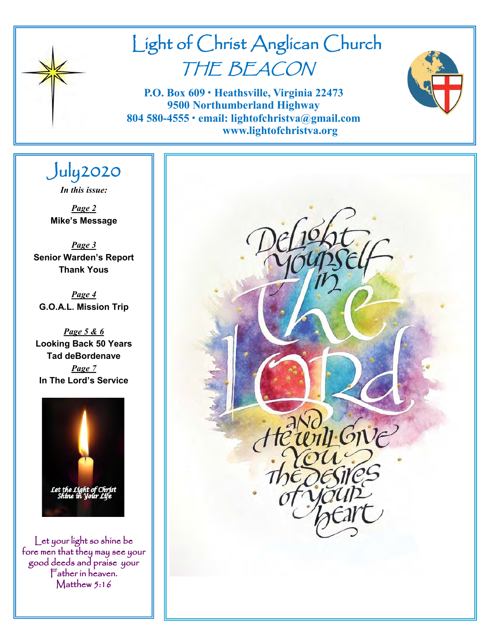

# Light of Christ Anglican Church THE BEACON

**P.O. Box 609 • Heathsville, Virginia 22473 9500 Northumberland Highway 804 580-4555 • email: lightofchristva@gmail.com www.lightofchristva.org**

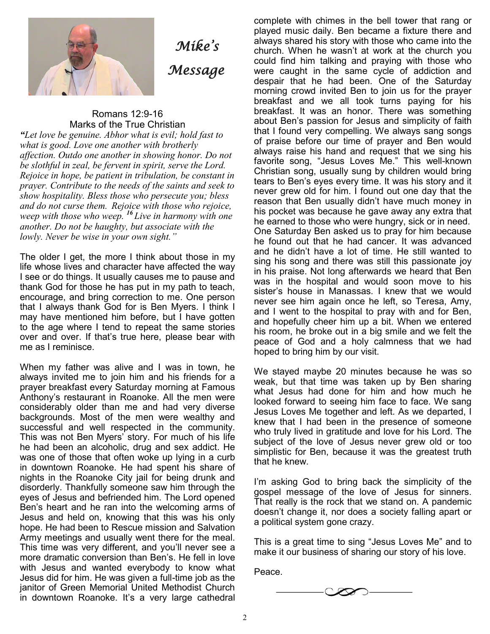

## *Mike's Message*

#### Romans 12:9-16 Marks of the True Christian

*"Let love be genuine. Abhor what is evil; hold fast to what is good. Love one another with brotherly affection. Outdo one another in showing honor. Do not be slothful in zeal, be fervent in spirit, serve the Lord. Rejoice in hope, be patient in tribulation, be constant in prayer. Contribute to the needs of the saints and seek to show hospitality. Bless those who persecute you; bless and do not curse them. Rejoice with those who rejoice, weep with those who weep. <sup>16</sup> Live in harmony with one another. Do not be haughty, but associate with the lowly. Never be wise in your own sight."*

The older I get, the more I think about those in my life whose lives and character have affected the way I see or do things. It usually causes me to pause and thank God for those he has put in my path to teach, encourage, and bring correction to me. One person that I always thank God for is Ben Myers. I think I may have mentioned him before, but I have gotten to the age where I tend to repeat the same stories over and over. If that's true here, please bear with me as I reminisce.

When my father was alive and I was in town, he always invited me to join him and his friends for a prayer breakfast every Saturday morning at Famous Anthony's restaurant in Roanoke. All the men were considerably older than me and had very diverse backgrounds. Most of the men were wealthy and successful and well respected in the community. This was not Ben Myers' story. For much of his life he had been an alcoholic, drug and sex addict. He was one of those that often woke up lying in a curb in downtown Roanoke. He had spent his share of nights in the Roanoke City jail for being drunk and disorderly. Thankfully someone saw him through the eyes of Jesus and befriended him. The Lord opened Ben's heart and he ran into the welcoming arms of Jesus and held on, knowing that this was his only hope. He had been to Rescue mission and Salvation Army meetings and usually went there for the meal. This time was very different, and you'll never see a more dramatic conversion than Ben's. He fell in love with Jesus and wanted everybody to know what Jesus did for him. He was given a full-time job as the janitor of Green Memorial United Methodist Church in downtown Roanoke. It's a very large cathedral

complete with chimes in the bell tower that rang or played music daily. Ben became a fixture there and always shared his story with those who came into the church. When he wasn't at work at the church you could find him talking and praying with those who were caught in the same cycle of addiction and despair that he had been. One of the Saturday morning crowd invited Ben to join us for the prayer breakfast and we all took turns paying for his breakfast. It was an honor. There was something about Ben's passion for Jesus and simplicity of faith that I found very compelling. We always sang songs of praise before our time of prayer and Ben would always raise his hand and request that we sing his favorite song, "Jesus Loves Me." This well-known Christian song, usually sung by children would bring tears to Ben's eyes every time. It was his story and it never grew old for him. I found out one day that the reason that Ben usually didn't have much money in his pocket was because he gave away any extra that he earned to those who were hungry, sick or in need. One Saturday Ben asked us to pray for him because he found out that he had cancer. It was advanced and he didn't have a lot of time. He still wanted to sing his song and there was still this passionate joy in his praise. Not long afterwards we heard that Ben was in the hospital and would soon move to his sister's house in Manassas. I knew that we would never see him again once he left, so Teresa, Amy, and I went to the hospital to pray with and for Ben, and hopefully cheer him up a bit. When we entered his room, he broke out in a big smile and we felt the peace of God and a holy calmness that we had hoped to bring him by our visit.

We stayed maybe 20 minutes because he was so weak, but that time was taken up by Ben sharing what Jesus had done for him and how much he looked forward to seeing him face to face. We sang Jesus Loves Me together and left. As we departed, I knew that I had been in the presence of someone who truly lived in gratitude and love for his Lord. The subject of the love of Jesus never grew old or too simplistic for Ben, because it was the greatest truth that he knew.

I'm asking God to bring back the simplicity of the gospel message of the love of Jesus for sinners. That really is the rock that we stand on. A pandemic doesn't change it, nor does a society falling apart or a political system gone crazy.

This is a great time to sing "Jesus Loves Me" and to make it our business of sharing our story of his love.

Peace.

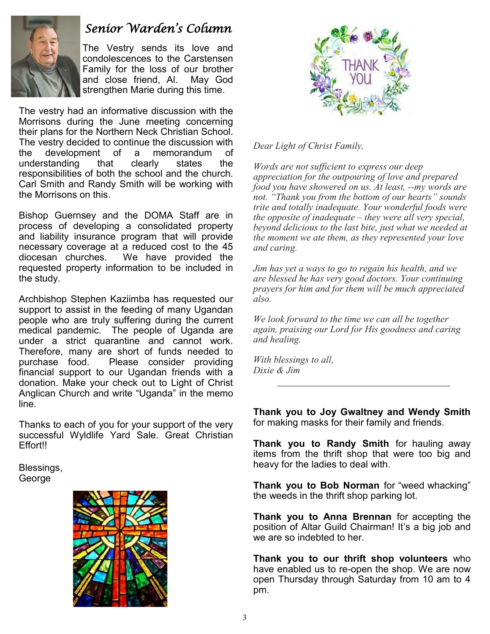

## *Senior Warden's Column*

The Vestry sends its love and condolescences to the Carstensen Family for the loss of our brother and close friend, Al. May God strengthen Marie during this time.

The vestry had an informative discussion with the Morrisons during the June meeting concerning their plans for the Northern Neck Christian School. The vestry decided to continue the discussion with the development of a memorandum of understanding that clearly states the responsibilities of both the school and the church. Carl Smith and Randy Smith will be working with the Morrisons on this.

Bishop Guernsey and the DOMA Staff are in process of developing a consolidated property and liability insurance program that will provide necessary coverage at a reduced cost to the 45 diocesan churches. We have provided the requested property information to be included in the study.

Archbishop Stephen Kaziimba has requested our support to assist in the feeding of many Ugandan people who are truly suffering during the current medical pandemic. The people of Uganda are under a strict quarantine and cannot work. Therefore, many are short of funds needed to purchase food. Please consider providing financial support to our Ugandan friends with a donation. Make your check out to Light of Christ Anglican Church and write "Uganda" in the memo line.

Thanks to each of you for your support of the very successful Wyldlife Yard Sale. Great Christian Effort!!

Blessings, George





*Dear Light of Christ Family,*

*Words are not sufficient to express our deep appreciation for the outpouring of love and prepared food you have showered on us. At least, my words are not. "Thank you from the bottom of our hearts" sounds trite and totally inadequate. Your wonderful foods were the opposite of inadequate – they were all very special, beyond delicious to the last bite, just what we needed at the moment we ate them, as they represented your love and caring.*

*Jim has yet a ways to go to regain his health, and we are blessed he has very good doctors. Your continuing prayers for him and for them will be much appreciated also.*

*We look forward to the time we can all be together again, praising our Lord for His goodness and caring and healing.*

*With blessings to all, Dixie & Jim*

**Thank you to Joy Gwaltney and Wendy Smith**  for making masks for their family and friends.

**Thank you to Randy Smith** for hauling away items from the thrift shop that were too big and heavy for the ladies to deal with.

**Thank you to Bob Norman** for "weed whacking" the weeds in the thrift shop parking lot.

**Thank you to Anna Brennan** for accepting the position of Altar Guild Chairman! It's a big job and we are so indebted to her.

**Thank you to our thrift shop volunteers** who have enabled us to re-open the shop. We are now open Thursday through Saturday from 10 am to 4 pm.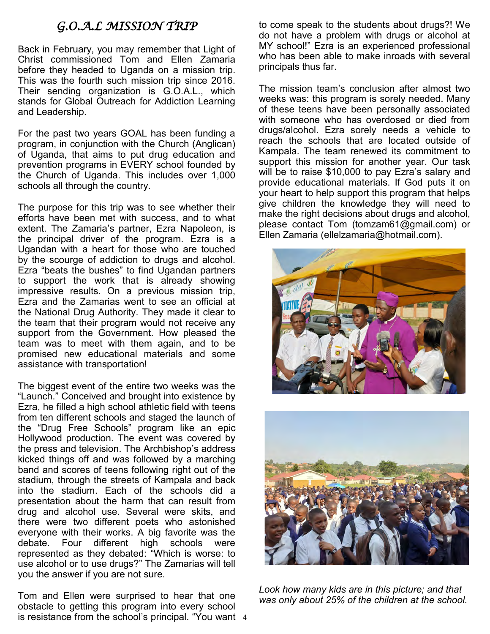### *G.O.A.L MISSION TRIP*

Back in February, you may remember that Light of Christ commissioned Tom and Ellen Zamaria before they headed to Uganda on a mission trip. This was the fourth such mission trip since 2016. Their sending organization is G.O.A.L., which stands for Global Outreach for Addiction Learning and Leadership.

For the past two years GOAL has been funding a program, in conjunction with the Church (Anglican) of Uganda, that aims to put drug education and prevention programs in EVERY school founded by the Church of Uganda. This includes over 1,000 schools all through the country.

The purpose for this trip was to see whether their efforts have been met with success, and to what extent. The Zamaria's partner, Ezra Napoleon, is the principal driver of the program. Ezra is a Ugandan with a heart for those who are touched by the scourge of addiction to drugs and alcohol. Ezra "beats the bushes" to find Ugandan partners to support the work that is already showing impressive results. On a previous mission trip, Ezra and the Zamarias went to see an official at the National Drug Authority. They made it clear to the team that their program would not receive any support from the Government. How pleased the team was to meet with them again, and to be promised new educational materials and some assistance with transportation!

The biggest event of the entire two weeks was the "Launch." Conceived and brought into existence by Ezra, he filled a high school athletic field with teens from ten different schools and staged the launch of the "Drug Free Schools" program like an epic Hollywood production. The event was covered by the press and television. The Archbishop's address kicked things off and was followed by a marching band and scores of teens following right out of the stadium, through the streets of Kampala and back into the stadium. Each of the schools did a presentation about the harm that can result from drug and alcohol use. Several were skits, and there were two different poets who astonished everyone with their works. A big favorite was the debate. Four different high schools were represented as they debated: "Which is worse: to use alcohol or to use drugs?" The Zamarias will tell you the answer if you are not sure.

is resistance from the school's principal. "You want 4 Tom and Ellen were surprised to hear that one obstacle to getting this program into every school

to come speak to the students about drugs?! We do not have a problem with drugs or alcohol at MY school!" Ezra is an experienced professional who has been able to make inroads with several principals thus far.

The mission team's conclusion after almost two weeks was: this program is sorely needed. Many of these teens have been personally associated with someone who has overdosed or died from drugs/alcohol. Ezra sorely needs a vehicle to reach the schools that are located outside of Kampala. The team renewed its commitment to support this mission for another year. Our task will be to raise \$10,000 to pay Ezra's salary and provide educational materials. If God puts it on your heart to help support this program that helps give children the knowledge they will need to make the right decisions about drugs and alcohol, please contact Tom (tomzam61@gmail.com) or Ellen Zamaria (ellelzamaria@hotmail.com).





*Look how many kids are in this picture; and that was only about 25% of the children at the school.*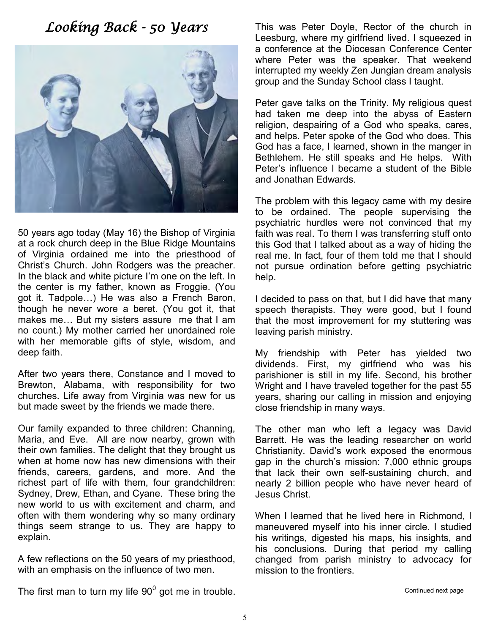## *Looking Back - 50 Years*



50 years ago today (May 16) the Bishop of Virginia at a rock church deep in the Blue Ridge Mountains of Virginia ordained me into the priesthood of Christ's Church. John Rodgers was the preacher. In the black and white picture I'm one on the left. In the center is my father, known as Froggie. (You got it. Tadpole…) He was also a French Baron, though he never wore a beret. (You got it, that makes me… But my sisters assure me that I am no count.) My mother carried her unordained role with her memorable gifts of style, wisdom, and deep faith.

After two years there, Constance and I moved to Brewton, Alabama, with responsibility for two churches. Life away from Virginia was new for us but made sweet by the friends we made there.

Our family expanded to three children: Channing, Maria, and Eve. All are now nearby, grown with their own families. The delight that they brought us when at home now has new dimensions with their friends, careers, gardens, and more. And the richest part of life with them, four grandchildren: Sydney, Drew, Ethan, and Cyane. These bring the new world to us with excitement and charm, and often with them wondering why so many ordinary things seem strange to us. They are happy to explain.

A few reflections on the 50 years of my priesthood, with an emphasis on the influence of two men.

This was Peter Doyle, Rector of the church in Leesburg, where my girlfriend lived. I squeezed in a conference at the Diocesan Conference Center where Peter was the speaker. That weekend interrupted my weekly Zen Jungian dream analysis group and the Sunday School class I taught.

Peter gave talks on the Trinity. My religious quest had taken me deep into the abyss of Eastern religion, despairing of a God who speaks, cares, and helps. Peter spoke of the God who does. This God has a face, I learned, shown in the manger in Bethlehem. He still speaks and He helps. With Peter's influence I became a student of the Bible and Jonathan Edwards.

The problem with this legacy came with my desire to be ordained. The people supervising the psychiatric hurdles were not convinced that my faith was real. To them I was transferring stuff onto this God that I talked about as a way of hiding the real me. In fact, four of them told me that I should not pursue ordination before getting psychiatric help.

I decided to pass on that, but I did have that many speech therapists. They were good, but I found that the most improvement for my stuttering was leaving parish ministry.

My friendship with Peter has yielded two dividends. First, my girlfriend who was his parishioner is still in my life. Second, his brother Wright and I have traveled together for the past 55 years, sharing our calling in mission and enjoying close friendship in many ways.

The other man who left a legacy was David Barrett. He was the leading researcher on world Christianity. David's work exposed the enormous gap in the church's mission: 7,000 ethnic groups that lack their own self-sustaining church, and nearly 2 billion people who have never heard of Jesus Christ.

When I learned that he lived here in Richmond, I maneuvered myself into his inner circle. I studied his writings, digested his maps, his insights, and his conclusions. During that period my calling changed from parish ministry to advocacy for mission to the frontiers.

Continued next page

The first man to turn my life  $90^0$  got me in trouble.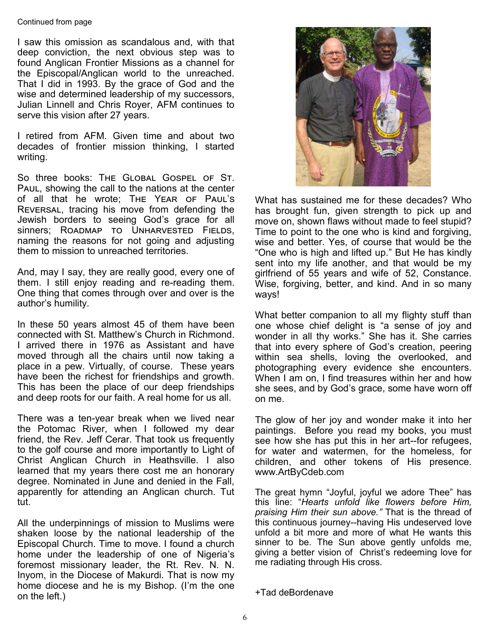#### Continued from page

I saw this omission as scandalous and, with that deep conviction, the next obvious step was to found Anglican Frontier Missions as a channel for the Episcopal/Anglican world to the unreached. That I did in 1993. By the grace of God and the wise and determined leadership of my successors, Julian Linnell and Chris Royer, AFM continues to serve this vision after 27 years.

I retired from AFM. Given time and about two decades of frontier mission thinking, I started writing.

So three books: The Global Gospel of St. Paul, showing the call to the nations at the center of all that he wrote; The Year of Paul's Reversal, tracing his move from defending the Jewish borders to seeing God's grace for all sinners; ROADMAP TO UNHARVESTED FIELDS, naming the reasons for not going and adjusting them to mission to unreached territories.

And, may I say, they are really good, every one of them. I still enjoy reading and re-reading them. One thing that comes through over and over is the author's humility.

In these 50 years almost 45 of them have been connected with St. Matthew's Church in Richmond. I arrived there in 1976 as Assistant and have moved through all the chairs until now taking a place in a pew. Virtually, of course. These years have been the richest for friendships and growth. This has been the place of our deep friendships and deep roots for our faith. A real home for us all.

There was a ten-year break when we lived near the Potomac River, when I followed my dear friend, the Rev. Jeff Cerar. That took us frequently to the golf course and more importantly to Light of Christ Anglican Church in Heathsville. I also learned that my years there cost me an honorary degree. Nominated in June and denied in the Fall, apparently for attending an Anglican church. Tut tut.

All the underpinnings of mission to Muslims were shaken loose by the national leadership of the Episcopal Church. Time to move. I found a church home under the leadership of one of Nigeria's foremost missionary leader, the Rt. Rev. N. N. Inyom, in the Diocese of Makurdi. That is now my home diocese and he is my Bishop. (I'm the one on the left.)



What has sustained me for these decades? Who has brought fun, given strength to pick up and move on, shown flaws without made to feel stupid? Time to point to the one who is kind and forgiving, wise and better. Yes, of course that would be the "One who is high and lifted up." But He has kindly sent into my life another, and that would be my girlfriend of 55 years and wife of 52, Constance. Wise, forgiving, better, and kind. And in so many ways!

What better companion to all my flighty stuff than one whose chief delight is "a sense of joy and wonder in all thy works." She has it. She carries that into every sphere of God's creation, peering within sea shells, loving the overlooked, and photographing every evidence she encounters. When I am on, I find treasures within her and how she sees, and by God's grace, some have worn off on me.

The glow of her joy and wonder make it into her paintings. Before you read my books, you must see how she has put this in her art--for refugees, for water and watermen, for the homeless, for children, and other tokens of His presence. www.ArtByCdeb.com

The great hymn "Joyful, joyful we adore Thee" has this line: "*Hearts unfold like flowers before Him, praising Him their sun above."* That is the thread of this continuous journey--having His undeserved love unfold a bit more and more of what He wants this sinner to be. The Sun above gently unfolds me, giving a better vision of Christ's redeeming love for me radiating through His cross.

```
+Tad deBordenave
```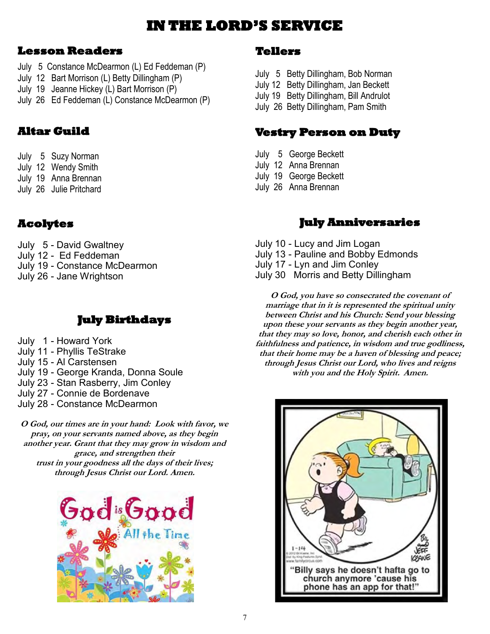## **IN THE LORD'S SERVICE**

#### **Lesson Readers**

- July 5 Constance McDearmon (L) Ed Feddeman (P)
- July 12 Bart Morrison (L) Betty Dillingham (P)
- July 19 Jeanne Hickey (L) Bart Morrison (P)
- July 26 Ed Feddeman (L) Constance McDearmon (P)

#### **Altar Guild**

- July 5 Suzy Norman
- July 12 Wendy Smith
- July 19 Anna Brennan
- July 26 Julie Pritchard

#### **Acolytes**

July 5 - David Gwaltney July 12 - Ed Feddeman July 19 - Constance McDearmon July 26 - Jane Wrightson

#### **July Birthdays**

- July 1 Howard York
- July 11 Phyllis TeStrake
- July 15 Al Carstensen
- July 19 George Kranda, Donna Soule
- July 23 Stan Rasberry, Jim Conley
- July 27 Connie de Bordenave
- July 28 Constance McDearmon

**O God, our times are in your hand: Look with favor, we pray, on your servants named above, as they begin another year. Grant that they may grow in wisdom and grace, and strengthen their trust in your goodness all the days of their lives; through Jesus Christ our Lord. Amen.**



#### **Tellers**

- July 5 Betty Dillingham, Bob Norman
- July 12 Betty Dillingham, Jan Beckett
- July 19 Betty Dillingham, Bill Andrulot
- July 26 Betty Dillingham, Pam Smith

#### **Vestry Person on Duty**

- July 5 George Beckett
- July 12 Anna Brennan
- July 19 George Beckett
- July 26 Anna Brennan

#### **July Anniversaries**

- July 10 Lucy and Jim Logan
- July 13 Pauline and Bobby Edmonds
- July 17 Lyn and Jim Conley
- July 30 Morris and Betty Dillingham

**O God, you have so consecrated the covenant of marriage that in it is represented the spiritual unity between Christ and his Church: Send your blessing upon these your servants as they begin another year, that they may so love, honor, and cherish each other in faithfulness and patience, in wisdom and true godliness, that their home may be a haven of blessing and peace; through Jesus Christ our Lord, who lives and reigns with you and the Holy Spirit. Amen.**